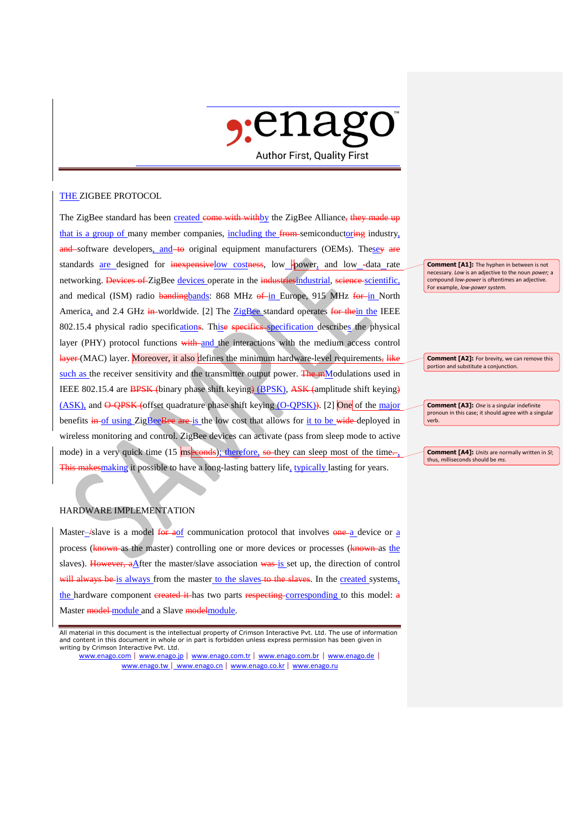

## THE ZIGBEE PROTOCOL

The ZigBee standard has been created come with with by the ZigBee Alliance, they made up that is a group of many member companies, including the from-semiconductoring industry,  $and$ -software developers, and to original equipment manufacturers (OEMs). These  $\ast$  are standards are designed for  $\frac{1}{2}$  inexpensivelow costness, low  $\frac{1}{2}$  power, and low -data rate networking. Devices of ZigBee devices operate in the industriesindustrial, science scientific, and medical (ISM) radio bandingbands: 868 MHz  $6f$  in Europe, 915 MHz  $f$  for in North America, and 2.4 GHz  $\frac{1}{2}$  m-worldwide. [2] The ZigBee standard operates for thein the IEEE 802.15.4 physical radio specifications. Thise specifics specification describes the physical layer (PHY) protocol functions with and the interactions with the medium access control layer (MAC) layer. Moreover, it also defines the minimum hardware-level requirements, like such as the receiver sensitivity and the transmitter output power. The mModulations used in IEEE 802.15.4 are **BPSK** (binary phase shift keying) (BPSK), ASK (amplitude shift keying) (ASK), and O-QPSK (offset quadrature phase shift keying (O-QPSK)). [2] One of the major benefits in of using ZigBeeBee are is the low cost that allows for it to be wide-deployed in wireless monitoring and control. ZigBee devices can activate (pass from sleep mode to active mode) in a very quick time (15 mseconds); therefore, so they can sleep most of the time. This makesmaking it possible to have a long-lasting battery life, typically lasting for years.

## HARDWARE IMPLEMENTATION

Master– $\frac{1}{s}$ slave is a model for aof communication protocol that involves one a device or a process (**known** as the master) controlling one or more devices or processes (**known** as the slaves). However,  $a\Delta$ fter the master/slave association was is set up, the direction of control will always be is always from the master to the slaves to the slaves. In the created systems, the hardware component created it has two parts respecting corresponding to this model: a Master model-module and a Slave model module.

All material in this document is the intellectual property of Crimson Interactive Pvt. Ltd. The use of information and content in this document in whole or in part is forbidden unless express permission has been given in writing by Crimson Interactive Pvt. Ltd.

www.enago.com | www.enago.jp | www.enago.com.tr | www.enago.com.br | www.enago.de | www.enago.tw | www.enago.cn | www.enago.co.kr | www.enago.ru

**Comment [A1]:** The hyphen in between is not necessary. *Low* is an adjective to the noun *power;* a compound *low-power* is oftentimes an adjective. For example, *low-power system.*

**Comment [A2]:** For brevity, we can remove this portion and substitute a conjunction.

**Comment [A3]:** *One* is a singular indefinite pronoun in this case; it should agree with a singular verb.

**Comment [A4]:** *Units* are normally written in *SI*; thus, milliseconds should be *ms*.